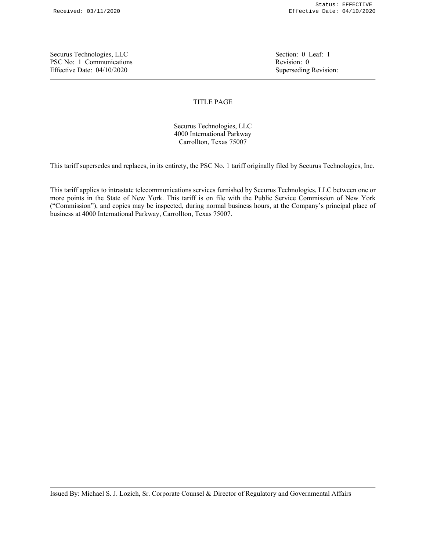Securus Technologies, LLC Section: 0 Leaf: 1 PSC No: 1 Communications **Revision: 0** Revision: 0 Effective Date: 04/10/2020 Superseding Revision:

## TITLE PAGE

Securus Technologies, LLC 4000 International Parkway Carrollton, Texas 75007

This tariff supersedes and replaces, in its entirety, the PSC No. 1 tariff originally filed by Securus Technologies, Inc.

This tariff applies to intrastate telecommunications services furnished by Securus Technologies, LLC between one or more points in the State of New York. This tariff is on file with the Public Service Commission of New York ("Commission"), and copies may be inspected, during normal business hours, at the Company's principal place of business at 4000 International Parkway, Carrollton, Texas 75007.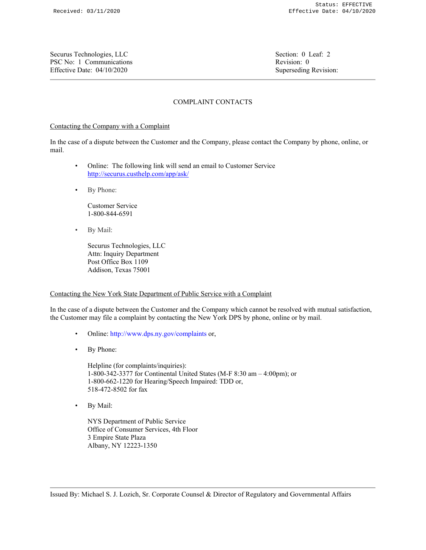Securus Technologies, LLC Section: 0 Leaf: 2 PSC No: 1 Communications **Revision: 0** Revision: 0 Effective Date: 04/10/2020 Superseding Revision:

# COMPLAINT CONTACTS

# Contacting the Company with a Complaint

In the case of a dispute between the Customer and the Company, please contact the Company by phone, online, or mail.

- Online: The following link will send an email to Customer Service http://securus.custhelp.com/app/ask/
- By Phone:

Customer Service 1-800-844-6591

• By Mail:

Securus Technologies, LLC Attn: Inquiry Department Post Office Box 1109 Addison, Texas 75001

## Contacting the New York State Department of Public Service with a Complaint

In the case of a dispute between the Customer and the Company which cannot be resolved with mutual satisfaction, the Customer may file a complaint by contacting the New York DPS by phone, online or by mail.

- Online: http://www.dps.ny.gov/complaints or,
- By Phone:

Helpline (for complaints/inquiries): 1-800-342-3377 for Continental United States (M-F 8:30 am – 4:00pm); or 1-800-662-1220 for Hearing/Speech Impaired: TDD or, 518-472-8502 for fax

• By Mail:

NYS Department of Public Service Office of Consumer Services, 4th Floor 3 Empire State Plaza Albany, NY 12223-1350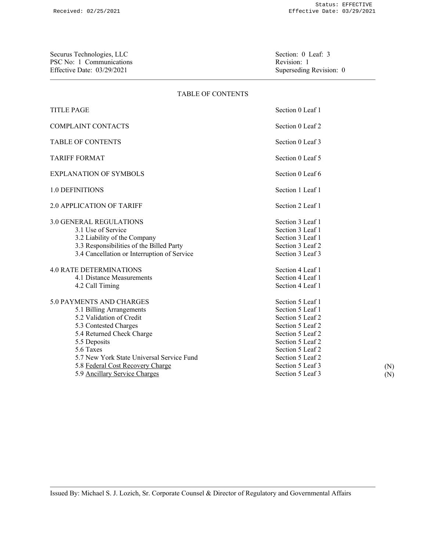Securus Technologies, LLC<br>
PSC No: 1 Communications<br>
Revision: 1 PSC No: 1 Communications<br>
Effective Date: 03/29/2021<br>
Superseding Revision: 0 Effective Date: 03/29/2021

### TABLE OF CONTENTS

| <b>TITLE PAGE</b>                                                                                                                                                                                                                                                                     | Section 0 Leaf 1                                                                                                                                                                                     |  |  |
|---------------------------------------------------------------------------------------------------------------------------------------------------------------------------------------------------------------------------------------------------------------------------------------|------------------------------------------------------------------------------------------------------------------------------------------------------------------------------------------------------|--|--|
| <b>COMPLAINT CONTACTS</b>                                                                                                                                                                                                                                                             | Section 0 Leaf 2                                                                                                                                                                                     |  |  |
| <b>TABLE OF CONTENTS</b>                                                                                                                                                                                                                                                              | Section 0 Leaf 3                                                                                                                                                                                     |  |  |
| <b>TARIFF FORMAT</b>                                                                                                                                                                                                                                                                  | Section 0 Leaf 5                                                                                                                                                                                     |  |  |
| <b>EXPLANATION OF SYMBOLS</b>                                                                                                                                                                                                                                                         | Section 0 Leaf 6                                                                                                                                                                                     |  |  |
| <b>1.0 DEFINITIONS</b>                                                                                                                                                                                                                                                                | Section 1 Leaf 1                                                                                                                                                                                     |  |  |
| <b>2.0 APPLICATION OF TARIFF</b>                                                                                                                                                                                                                                                      | Section 2 Leaf 1                                                                                                                                                                                     |  |  |
| <b>3.0 GENERAL REGULATIONS</b><br>3.1 Use of Service<br>3.2 Liability of the Company<br>3.3 Responsibilities of the Billed Party<br>3.4 Cancellation or Interruption of Service<br><b>4.0 RATE DETERMINATIONS</b><br>4.1 Distance Measurements                                        | Section 3 Leaf 1<br>Section 3 Leaf 1<br>Section 3 Leaf 1<br>Section 3 Leaf 2<br>Section 3 Leaf 3<br>Section 4 Leaf 1<br>Section 4 Leaf 1                                                             |  |  |
| 4.2 Call Timing                                                                                                                                                                                                                                                                       | Section 4 Leaf 1                                                                                                                                                                                     |  |  |
| 5.0 PAYMENTS AND CHARGES<br>5.1 Billing Arrangements<br>5.2 Validation of Credit<br>5.3 Contested Charges<br>5.4 Returned Check Charge<br>5.5 Deposits<br>5.6 Taxes<br>5.7 New York State Universal Service Fund<br>5.8 Federal Cost Recovery Charge<br>5.9 Ancillary Service Charges | Section 5 Leaf 1<br>Section 5 Leaf 1<br>Section 5 Leaf 2<br>Section 5 Leaf 2<br>Section 5 Leaf 2<br>Section 5 Leaf 2<br>Section 5 Leaf 2<br>Section 5 Leaf 2<br>Section 5 Leaf 3<br>Section 5 Leaf 3 |  |  |

(N) (N)

Issued By: Michael S. J. Lozich, Sr. Corporate Counsel & Director of Regulatory and Governmental Affairs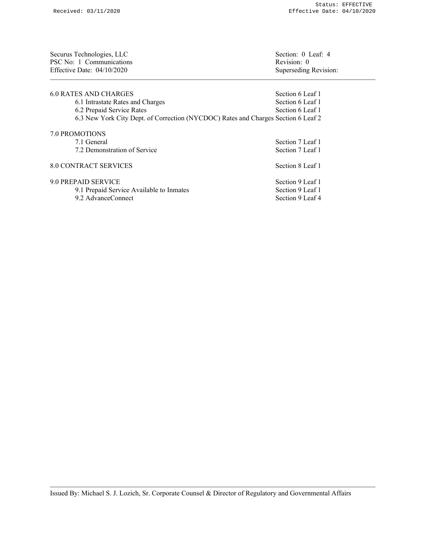| Securus Technologies, LLC<br>PSC No: 1 Communications<br>Effective Date: $04/10/2020$ | Section: 0 Leaf: 4<br>Revision: 0<br>Superseding Revision: |  |
|---------------------------------------------------------------------------------------|------------------------------------------------------------|--|
| 6.0 RATES AND CHARGES                                                                 | Section 6 Leaf 1                                           |  |
| 6.1 Intrastate Rates and Charges                                                      | Section 6 Leaf 1                                           |  |
| 6.2 Prepaid Service Rates                                                             | Section 6 Leaf 1                                           |  |
| 6.3 New York City Dept. of Correction (NYCDOC) Rates and Charges Section 6 Leaf 2     |                                                            |  |
| <b>7.0 PROMOTIONS</b>                                                                 |                                                            |  |
| 7.1 General                                                                           | Section 7 Leaf 1                                           |  |
| 7.2 Demonstration of Service                                                          | Section 7 Leaf 1                                           |  |
| <b>8.0 CONTRACT SERVICES</b>                                                          | Section 8 Leaf 1                                           |  |

| 9.0 PREPAID SERVICE                      | Section 9 Leaf 1 |
|------------------------------------------|------------------|
| 9.1 Prepaid Service Available to Inmates | Section 9 Leaf 1 |
| 9.2 AdvanceConnect                       | Section 9 Leaf 4 |

Issued By: Michael S. J. Lozich, Sr. Corporate Counsel & Director of Regulatory and Governmental Affairs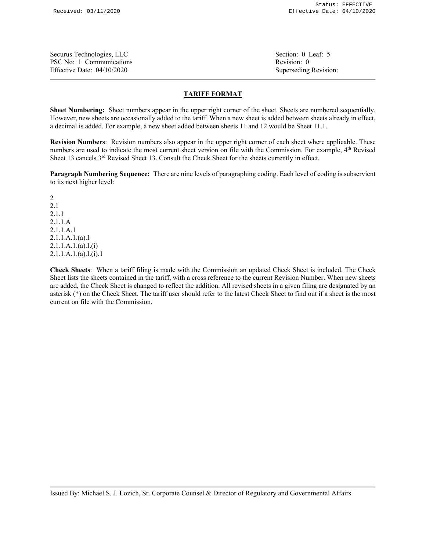Securus Technologies, LLC Securus Technologies, LLC Securus Technologies, LLC PSC No: 1 Communications **Revision: 0** Revision: 0 Effective Date: 04/10/2020 Superseding Revision:

## **TARIFF FORMAT**

**Sheet Numbering:** Sheet numbers appear in the upper right corner of the sheet. Sheets are numbered sequentially. However, new sheets are occasionally added to the tariff. When a new sheet is added between sheets already in effect, a decimal is added. For example, a new sheet added between sheets 11 and 12 would be Sheet 11.1.

**Revision Numbers**: Revision numbers also appear in the upper right corner of each sheet where applicable. These numbers are used to indicate the most current sheet version on file with the Commission. For example, 4<sup>th</sup> Revised Sheet 13 cancels 3<sup>rd</sup> Revised Sheet 13. Consult the Check Sheet for the sheets currently in effect.

**Paragraph Numbering Sequence:** There are nine levels of paragraphing coding. Each level of coding is subservient to its next higher level:

2 2.1 2.1.1 2.1.1.A 2.1.1.A.1 2.1.1.A.1.(a).I 2.1.1.A.1.(a).I.(i) 2.1.1.A.1.(a).I.(i).1

**Check Sheets**: When a tariff filing is made with the Commission an updated Check Sheet is included. The Check Sheet lists the sheets contained in the tariff, with a cross reference to the current Revision Number. When new sheets are added, the Check Sheet is changed to reflect the addition. All revised sheets in a given filing are designated by an asterisk (\*) on the Check Sheet. The tariff user should refer to the latest Check Sheet to find out if a sheet is the most current on file with the Commission.